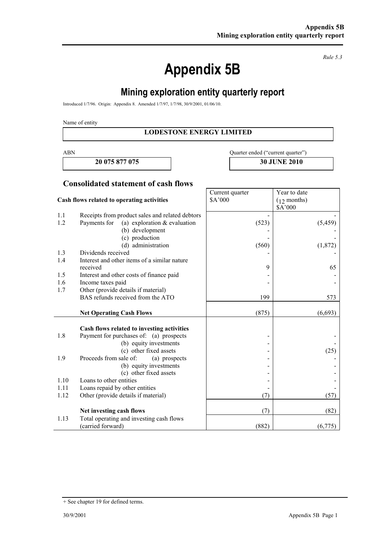**Appendix 5B** 

*Rule 5.3* 

# **Mining exploration entity quarterly report**

Introduced 1/7/96. Origin: Appendix 8. Amended 1/7/97, 1/7/98, 30/9/2001, 01/06/10.

Name of entity

#### **LODESTONE ENERGY LIMITED**

Current quarter

**20 075 877 075 30 JUNE 2010** 

ABN Quarter ended ("current quarter")

**Year to date** 

#### **Consolidated statement of cash flows**

|      | Cash flows related to operating activities      | \$A'000 | $(12$ months)<br>\$A'000 |
|------|-------------------------------------------------|---------|--------------------------|
| 1.1  | Receipts from product sales and related debtors |         |                          |
| 1.2  | Payments for<br>(a) exploration $&$ evaluation  | (523)   | (5, 459)                 |
|      | (b) development                                 |         |                          |
|      | (c) production                                  |         |                          |
|      | (d) administration                              | (560)   | (1,872)                  |
| 1.3  | Dividends received                              |         |                          |
| 1.4  | Interest and other items of a similar nature    |         |                          |
|      | received                                        | 9       | 65                       |
| 1.5  | Interest and other costs of finance paid        |         |                          |
| 1.6  | Income taxes paid                               |         |                          |
| 1.7  | Other (provide details if material)             |         |                          |
|      | BAS refunds received from the ATO               | 199     | 573                      |
|      | <b>Net Operating Cash Flows</b>                 | (875)   | (6, 693)                 |
|      |                                                 |         |                          |
|      | Cash flows related to investing activities      |         |                          |
| 1.8  | Payment for purchases of: (a) prospects         |         |                          |
|      | (b) equity investments                          |         |                          |
|      | (c) other fixed assets                          |         | (25)                     |
| 1.9  | Proceeds from sale of:<br>(a) prospects         |         |                          |
|      | (b) equity investments                          |         |                          |
|      | (c) other fixed assets                          |         |                          |
| 1.10 | Loans to other entities                         |         |                          |
| 1.11 | Loans repaid by other entities                  |         |                          |
| 1.12 | Other (provide details if material)             | (7)     | (57)                     |
|      | Net investing cash flows                        | (7)     | (82)                     |
| 1.13 | Total operating and investing cash flows        |         |                          |
|      | (carried forward)                               | (882)   | (6,775)                  |

<sup>+</sup> See chapter 19 for defined terms.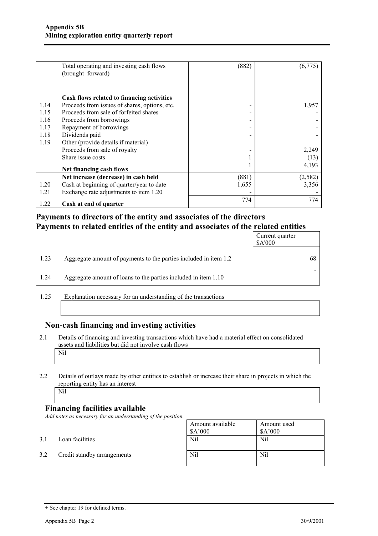|      | Total operating and investing cash flows<br>(brought forward) | (882) | (6,775)  |
|------|---------------------------------------------------------------|-------|----------|
|      | Cash flows related to financing activities                    |       |          |
| 1.14 | Proceeds from issues of shares, options, etc.                 |       | 1,957    |
| 1.15 | Proceeds from sale of forfeited shares                        |       |          |
| 1.16 | Proceeds from borrowings                                      |       |          |
| 1.17 | Repayment of borrowings                                       |       |          |
| 1.18 | Dividends paid                                                |       |          |
| 1.19 | Other (provide details if material)                           |       |          |
|      | Proceeds from sale of royalty                                 |       | 2,249    |
|      | Share issue costs                                             |       | (13)     |
|      | Net financing cash flows                                      |       | 4,193    |
|      | Net increase (decrease) in cash held                          | (881) | (2, 582) |
| 1.20 | Cash at beginning of quarter/year to date                     | 1,655 | 3,356    |
| 1.21 | Exchange rate adjustments to item 1.20                        |       |          |
| 1.22 | Cash at end of quarter                                        | 774   | 774      |

### **Payments to directors of the entity and associates of the directors Payments to related entities of the entity and associates of the related entities**

|      |                                                                  | Current quarter<br>\$A'000 |
|------|------------------------------------------------------------------|----------------------------|
| 1.23 | Aggregate amount of payments to the parties included in item 1.2 | -68                        |
| 1.24 | Aggregate amount of loans to the parties included in item 1.10   |                            |

1.25 Explanation necessary for an understanding of the transactions

### **Non-cash financing and investing activities**

- 2.1 Details of financing and investing transactions which have had a material effect on consolidated assets and liabilities but did not involve cash flows Nil
- 2.2 Details of outlays made by other entities to establish or increase their share in projects in which the reporting entity has an interest

Nil

#### **Financing facilities available**

*Add notes as necessary for an understanding of the position.* 

|     |                             | Amount available<br>\$A'000 | Amount used<br>\$A'000 |
|-----|-----------------------------|-----------------------------|------------------------|
| 3.1 | Loan facilities             | Nil                         | Nil                    |
| 3.2 | Credit standby arrangements | Nil                         | Nil                    |

<sup>+</sup> See chapter 19 for defined terms.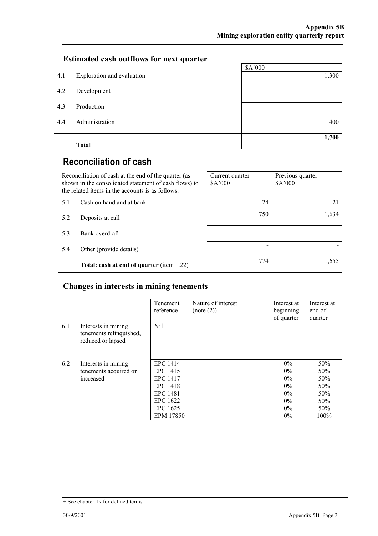# **Estimated cash outflows for next quarter**

|     |                            | \$A'000 |
|-----|----------------------------|---------|
| 4.1 | Exploration and evaluation | 1,300   |
| 4.2 | Development                |         |
| 4.3 | Production                 |         |
| 4.4 | Administration             | 400     |
|     | <b>Total</b>               | 1,700   |

# **Reconciliation of cash**

| Reconciliation of cash at the end of the quarter (as<br>shown in the consolidated statement of cash flows) to<br>the related items in the accounts is as follows. |                                           | Current quarter<br>A'000 | Previous quarter<br>\$A'000 |
|-------------------------------------------------------------------------------------------------------------------------------------------------------------------|-------------------------------------------|--------------------------|-----------------------------|
| 5.1                                                                                                                                                               | Cash on hand and at bank                  | 24                       | 21                          |
| 5.2                                                                                                                                                               | Deposits at call                          | 750                      | 1,634                       |
| 5.3                                                                                                                                                               | Bank overdraft                            |                          |                             |
| 5.4                                                                                                                                                               | Other (provide details)                   |                          |                             |
|                                                                                                                                                                   | Total: cash at end of quarter (item 1.22) | 774                      | 1,655                       |

## **Changes in interests in mining tenements**

|     |                                                                     | Tenement<br>reference | Nature of interest<br>(note (2)) | Interest at<br>beginning<br>of quarter | Interest at<br>end of<br>quarter |
|-----|---------------------------------------------------------------------|-----------------------|----------------------------------|----------------------------------------|----------------------------------|
| 6.1 | Interests in mining<br>tenements relinquished,<br>reduced or lapsed | Nil                   |                                  |                                        |                                  |
| 6.2 | Interests in mining                                                 | EPC 1414              |                                  | $0\%$                                  | 50%                              |
|     | tenements acquired or                                               | EPC 1415              |                                  | $0\%$                                  | 50%                              |
|     | increased                                                           | EPC 1417              |                                  | $0\%$                                  | 50%                              |
|     |                                                                     | <b>EPC 1418</b>       |                                  | 0%                                     | 50%                              |
|     |                                                                     | EPC 1481              |                                  | 0%                                     | 50%                              |
|     |                                                                     | EPC 1622              |                                  | $0\%$                                  | 50%                              |
|     |                                                                     | EPC 1625              |                                  | $0\%$                                  | 50%                              |
|     |                                                                     | EPM 17850             |                                  | $0\%$                                  | 100%                             |

<sup>+</sup> See chapter 19 for defined terms.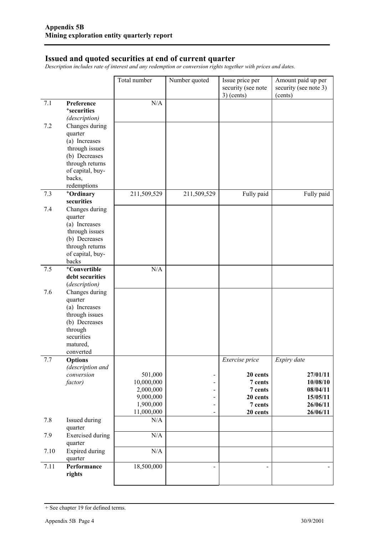#### **Issued and quoted securities at end of current quarter**

*Description includes rate of interest and any redemption or conversion rights together with prices and dates.* 

|      |                                                                                                                                                  | Total number                                                               | Number quoted                                            | Issue price per<br>security (see note<br>$3)$ (cents)                               | Amount paid up per<br>security (see note 3)<br>(cents)                              |
|------|--------------------------------------------------------------------------------------------------------------------------------------------------|----------------------------------------------------------------------------|----------------------------------------------------------|-------------------------------------------------------------------------------------|-------------------------------------------------------------------------------------|
| 7.1  | Preference<br><sup>+</sup> securities<br>(description)                                                                                           | N/A                                                                        |                                                          |                                                                                     |                                                                                     |
| 7.2  | Changes during<br>quarter<br>(a) Increases<br>through issues<br>(b) Decreases<br>through returns                                                 |                                                                            |                                                          |                                                                                     |                                                                                     |
|      | of capital, buy-<br>backs,<br>redemptions                                                                                                        |                                                                            |                                                          |                                                                                     |                                                                                     |
| 7.3  | +Ordinary<br>securities                                                                                                                          | 211,509,529                                                                | 211,509,529                                              | Fully paid                                                                          | Fully paid                                                                          |
| 7.4  | Changes during<br>quarter<br>(a) Increases<br>through issues<br>(b) Decreases<br>through returns<br>of capital, buy-<br>backs                    |                                                                            |                                                          |                                                                                     |                                                                                     |
| 7.5  | <sup>+</sup> Convertible<br>debt securities                                                                                                      | N/A                                                                        |                                                          |                                                                                     |                                                                                     |
| 7.6  | (description)<br>Changes during<br>quarter<br>(a) Increases<br>through issues<br>(b) Decreases<br>through<br>securities<br>matured,<br>converted |                                                                            |                                                          |                                                                                     |                                                                                     |
| 7.7  | <b>Options</b><br>(description and<br>conversion<br>factor)                                                                                      | 501,000<br>10,000,000<br>2,000,000<br>9,000,000<br>1,900,000<br>11,000,000 | -<br>$\overline{a}$<br>-<br>$\qquad \qquad \blacksquare$ | Exercise price<br>20 cents<br>7 cents<br>7 cents<br>20 cents<br>7 cents<br>20 cents | Expiry date<br>27/01/11<br>10/08/10<br>08/04/11<br>15/05/11<br>26/06/11<br>26/06/11 |
| 7.8  | Issued during<br>quarter                                                                                                                         | N/A                                                                        |                                                          |                                                                                     |                                                                                     |
| 7.9  | <b>Exercised</b> during<br>quarter                                                                                                               | $\rm N/A$                                                                  |                                                          |                                                                                     |                                                                                     |
| 7.10 | Expired during<br>quarter                                                                                                                        | $\rm N/A$                                                                  |                                                          |                                                                                     |                                                                                     |
| 7.11 | Performance<br>rights                                                                                                                            | 18,500,000                                                                 | $\overline{a}$                                           |                                                                                     |                                                                                     |

<sup>+</sup> See chapter 19 for defined terms.